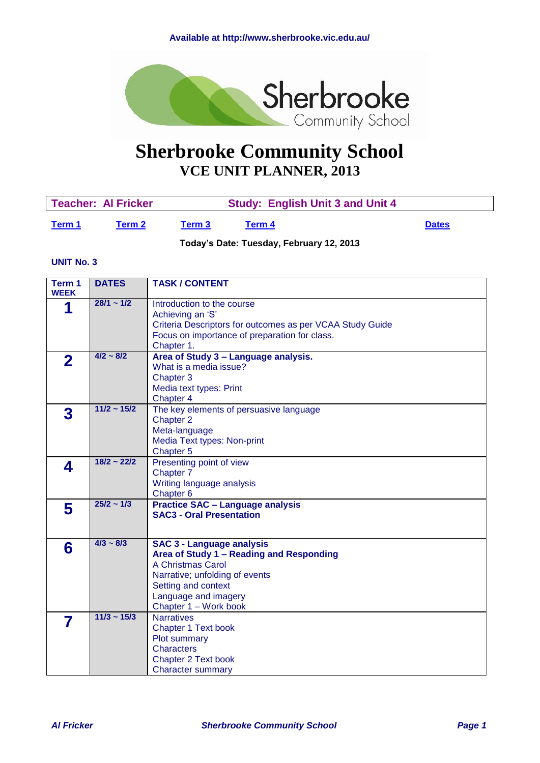<span id="page-0-1"></span>

# **Sherbrooke Community School VCE UNIT PLANNER, 2013**

|        | Teacher: Al Fricker |        | <b>Study: English Unit 3 and Unit 4</b> |              |
|--------|---------------------|--------|-----------------------------------------|--------------|
| Term 1 | Term 2              | Term 3 | Term 4                                  | <b>Dates</b> |

**Today's Date: Tuesday, February 12, 2013**

#### **UNIT No. 3**

<span id="page-0-0"></span>

| Term 1<br><b>WEEK</b> | <b>DATES</b>     | <b>TASK / CONTENT</b>                                                                                                                                                                                       |
|-----------------------|------------------|-------------------------------------------------------------------------------------------------------------------------------------------------------------------------------------------------------------|
| 1                     | $28/1 - 1/2$     | Introduction to the course<br>Achieving an 'S'<br>Criteria Descriptors for outcomes as per VCAA Study Guide<br>Focus on importance of preparation for class.<br>Chapter 1.                                  |
| $\mathbf 2$           | $4/2 \sim 8/2$   | Area of Study 3 - Language analysis.<br>What is a media issue?<br>Chapter 3<br>Media text types: Print<br>Chapter 4                                                                                         |
| 3                     | $11/2 \sim 15/2$ | The key elements of persuasive language<br>Chapter 2<br>Meta-language<br>Media Text types: Non-print<br>Chapter 5                                                                                           |
| 4                     | $18/2 - 22/2$    | Presenting point of view<br>Chapter 7<br>Writing language analysis<br>Chapter <sub>6</sub>                                                                                                                  |
| 5                     | $25/2 \sim 1/3$  | <b>Practice SAC - Language analysis</b><br><b>SAC3 - Oral Presentation</b>                                                                                                                                  |
| 6                     | $4/3 \sim 8/3$   | <b>SAC 3 - Language analysis</b><br>Area of Study 1 - Reading and Responding<br>A Christmas Carol<br>Narrative; unfolding of events<br>Setting and context<br>Language and imagery<br>Chapter 1 - Work book |
| 7                     | $11/3 \sim 15/3$ | <b>Narratives</b><br><b>Chapter 1 Text book</b><br>Plot summary<br><b>Characters</b><br><b>Chapter 2 Text book</b><br><b>Character summary</b>                                                              |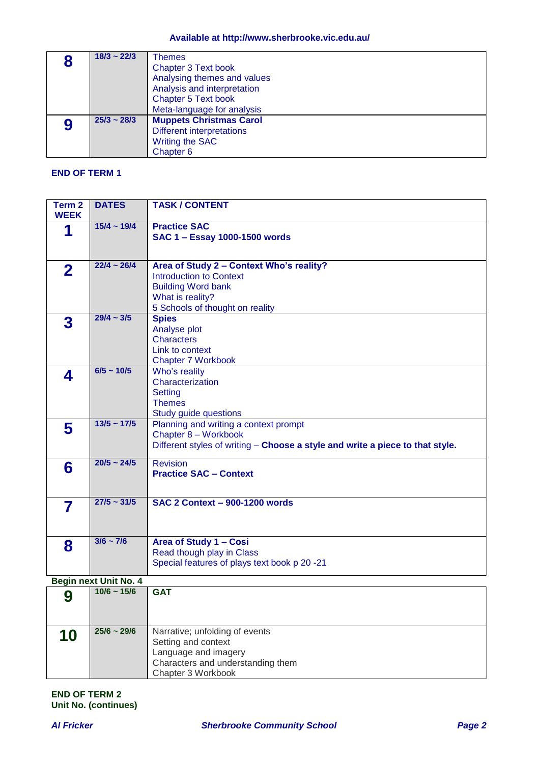| $18/3 - 22/3$    | Themes                           |
|------------------|----------------------------------|
|                  | <b>Chapter 3 Text book</b>       |
|                  | Analysing themes and values      |
|                  | Analysis and interpretation      |
|                  | <b>Chapter 5 Text book</b>       |
|                  | Meta-language for analysis       |
| $25/3 \sim 28/3$ | <b>Muppets Christmas Carol</b>   |
|                  | <b>Different interpretations</b> |
|                  | Writing the SAC                  |
|                  | Chapter <sub>6</sub>             |

#### **END OF TERM 1**

| Term <sub>2</sub><br><b>WEEK</b> | <b>DATES</b>          | <b>TASK / CONTENT</b>                                                                                                                                          |
|----------------------------------|-----------------------|----------------------------------------------------------------------------------------------------------------------------------------------------------------|
| 1                                | $15/4 \sim 19/4$      | <b>Practice SAC</b><br>SAC 1 - Essay 1000-1500 words                                                                                                           |
| $\mathbf{2}$                     | $22/4 - 26/4$         | Area of Study 2 - Context Who's reality?<br><b>Introduction to Context</b><br><b>Building Word bank</b><br>What is reality?<br>5 Schools of thought on reality |
| 3                                | $29/4 - 3/5$          | <b>Spies</b><br>Analyse plot<br><b>Characters</b><br>Link to context<br><b>Chapter 7 Workbook</b>                                                              |
| 4                                | $6/5 \sim 10/5$       | Who's reality<br>Characterization<br><b>Setting</b><br><b>Themes</b><br>Study guide questions                                                                  |
| 5                                | $13/5 \sim 17/5$      | Planning and writing a context prompt<br>Chapter 8 - Workbook<br>Different styles of writing - Choose a style and write a piece to that style.                 |
| 6                                | $20/5 - 24/5$         | <b>Revision</b><br><b>Practice SAC - Context</b>                                                                                                               |
| 7                                | $27/5 \sim 31/5$      | <b>SAC 2 Context - 900-1200 words</b>                                                                                                                          |
| 8                                | $3/6 \sim 7/6$        | Area of Study 1 - Cosi<br>Read though play in Class<br>Special features of plays text book p 20 -21                                                            |
|                                  | Begin next Unit No. 4 |                                                                                                                                                                |
| Λ                                | $10/6 \sim 15/6$      | <b>GAT</b>                                                                                                                                                     |

| - Pogini noxt Unit noi + |                  |                                                                                                                                          |  |
|--------------------------|------------------|------------------------------------------------------------------------------------------------------------------------------------------|--|
|                          | $10/6 \sim 15/6$ | <b>GAT</b>                                                                                                                               |  |
| 10                       | $25/6 \sim 29/6$ | Narrative; unfolding of events<br>Setting and context<br>Language and imagery<br>Characters and understanding them<br>Chapter 3 Workbook |  |

**END OF TERM 2 Unit No. (continues)**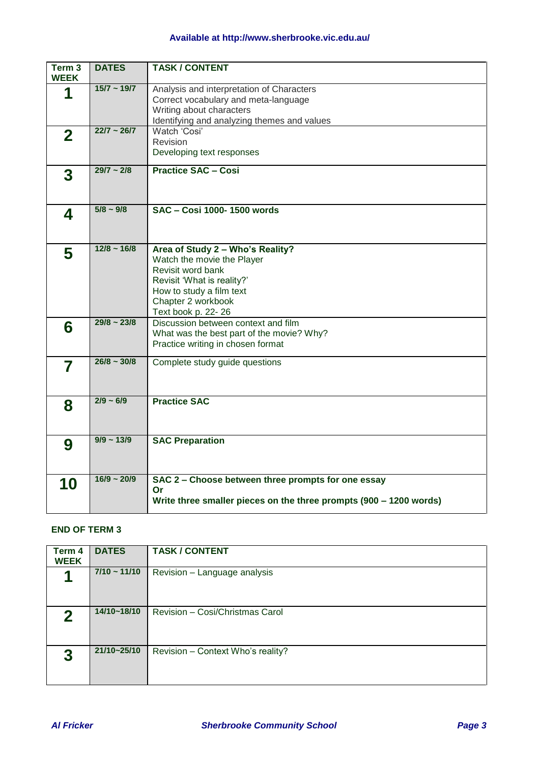## **Available at http://www.sherbrooke.vic.edu.au/**

| Term <sub>3</sub><br><b>WEEK</b> | <b>DATES</b>     | <b>TASK / CONTENT</b>                                                                                                                                                                     |
|----------------------------------|------------------|-------------------------------------------------------------------------------------------------------------------------------------------------------------------------------------------|
| 1                                | $15/7 - 19/7$    | Analysis and interpretation of Characters<br>Correct vocabulary and meta-language<br>Writing about characters<br>Identifying and analyzing themes and values                              |
| $\mathbf{2}$                     | $22/7 - 26/7$    | Watch 'Cosi'<br>Revision<br>Developing text responses                                                                                                                                     |
| 3                                | $29/7 - 2/8$     | <b>Practice SAC - Cosi</b>                                                                                                                                                                |
| 4                                | $5/8 \sim 9/8$   | SAC - Cosi 1000-1500 words                                                                                                                                                                |
| 5                                | $12/8 \sim 16/8$ | Area of Study 2 - Who's Reality?<br>Watch the movie the Player<br>Revisit word bank<br>Revisit 'What is reality?'<br>How to study a film text<br>Chapter 2 workbook<br>Text book p. 22-26 |
| 6                                | $29/8 \sim 23/8$ | Discussion between context and film<br>What was the best part of the movie? Why?<br>Practice writing in chosen format                                                                     |
| 7                                | $26/8 \sim 30/8$ | Complete study guide questions                                                                                                                                                            |
| 8                                | $2/9 - 6/9$      | <b>Practice SAC</b>                                                                                                                                                                       |
| 9                                | $9/9 - 13/9$     | <b>SAC Preparation</b>                                                                                                                                                                    |
| 10                               | $16/9 - 20/9$    | SAC 2 - Choose between three prompts for one essay<br>Or<br>Write three smaller pieces on the three prompts (900 - 1200 words)                                                            |

### **END OF TERM 3**

<span id="page-2-0"></span>

| Term 4<br><b>WEEK</b> | <b>DATES</b>      | <b>TASK / CONTENT</b>             |
|-----------------------|-------------------|-----------------------------------|
|                       | $7/10 \sim 11/10$ | Revision - Language analysis      |
| 2                     | 14/10~18/10       | Revision - Cosi/Christmas Carol   |
| 3                     | 21/10~25/10       | Revision - Context Who's reality? |